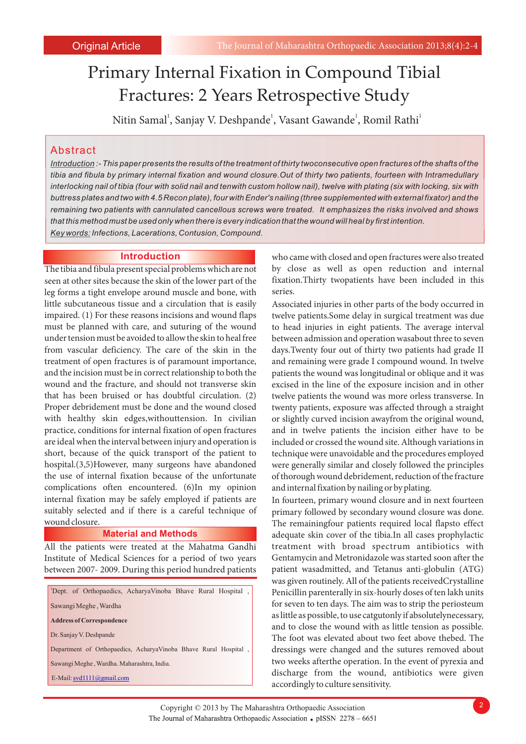# Primary Internal Fixation in Compound Tibial Fractures: 2 Years Retrospective Study

Nitin Samal<sup>1</sup>, Sanjay V. Deshpande<sup>1</sup>, Vasant Gawande<sup>1</sup>, Romil Rathi<sup>1</sup>

## Abstract

*Introduction :- This paper presents the results of the treatment of thirty twoconsecutive open fractures of the shafts of the tibia and fibula by primary internal fixation and wound closure.Out of thirty two patients, fourteen with Intramedullary interlocking nail of tibia (four with solid nail and tenwith custom hollow nail), twelve with plating (six with locking, six with buttress plates and two with 4.5 Recon plate), four with Ender's nailing (three supplemented with external fixator) and the remaining two patients with cannulated cancellous screws were treated. It emphasizes the risks involved and shows that this method must be used only when there is every indication that the wound will heal by first intention. Key words: Infections, Lacerations, Contusion, Compound.*

seen at other sites because the skin of the lower part of the fixation. Thirty twopatients have been included in this leg forms a tight envelope around muscle and bone, with series. little subcutaneous tissue and a circulation that is easily Associated injuries in other parts of the body occurred in impaired. (1) For these reasons incisions and wound flaps twelve patients.Some delay in surgical treatment was due must be planned with care, and suturing of the wound to head injuries in eight patients. The average interval under tension must be avoided to allow the skin to heal free between admission and operation wasabout three to seven from vascular deficiency. The care of the skin in the days.Twenty four out of thirty two patients had grade II treatment of open fractures is of paramount importance, and remaining were grade I compound wound. In twelve and the incision must be in correct relationship to both the patients the wound was longitudinal or oblique and it was wound and the fracture, and should not transverse skin excised in the line of the exposure incision and in other that has been bruised or has doubtful circulation. (2) twelve patients the wound was more orless transverse. In Proper debridement must be done and the wound closed twenty patients, exposure was affected through a straight with healthy skin edges, withouttension. In civilian or slightly curved incision awayfrom the original wound, practice, conditions for internal fixation of open fractures and in twelve patients the incision either have to be are ideal when the interval between injury and operation is included or crossed the wound site. Although variations in short, because of the quick transport of the patient to technique were unavoidable and the procedures employed hospital.(3,5)However, many surgeons have abandoned were generally similar and closely followed the principles the use of internal fixation because of the unfortunate of thorough wound debridement, reduction of the fracture complications often encountered. (6)In my opinion and internal fixation by nailing or by plating. internal fixation may be safely employed if patients are In fourteen, primary wound closure and in next fourteen suitably selected and if there is a careful technique of primary followed by secondary wound closure was done.<br>We remaining the remaining partients required local flans to effect

#### **Material and Methods**

Institute of Medical Sciences for a period of two years Gentamycin and Metronidazole was started soon after the between 2007- 2009. During this period hundred patients patient wasadmitted, and Tetanus anti-globulin (ATG)

<sup>1</sup>Dept. of Orthopaedics, AcharyaVinoba Bhave Rural Hospital , Sawangi Meghe , Wardha **Address of Correspondence** Dr. Sanjay V. Deshpande Department of Orthopaedics, AcharyaVinoba Bhave Rural Hospital , Sawangi Meghe , Wardha. Maharashtra, India. E-Mail: svd1111@gmail.com

**Introduction** who came with closed and open fractures were also treated The tibia and fibula present special problems which are not by close as well as open reduction and internal

The remainingfour patients required local flapsto effect adequate skin cover of the tibia.In all cases prophylactic All the patients were treated at the Mahatma Gandhi treatment with broad spectrum antibiotics with was given routinely. All of the patients receivedCrystalline Penicillin parenterally in six-hourly doses of ten lakh units for seven to ten days. The aim was to strip the periosteum as little as possible, to use catgutonly if absolutelynecessary, and to close the wound with as little tension as possible. The foot was elevated about two feet above thebed. The dressings were changed and the sutures removed about two weeks afterthe operation. In the event of pyrexia and discharge from the wound, antibiotics were given accordingly to culture sensitivity.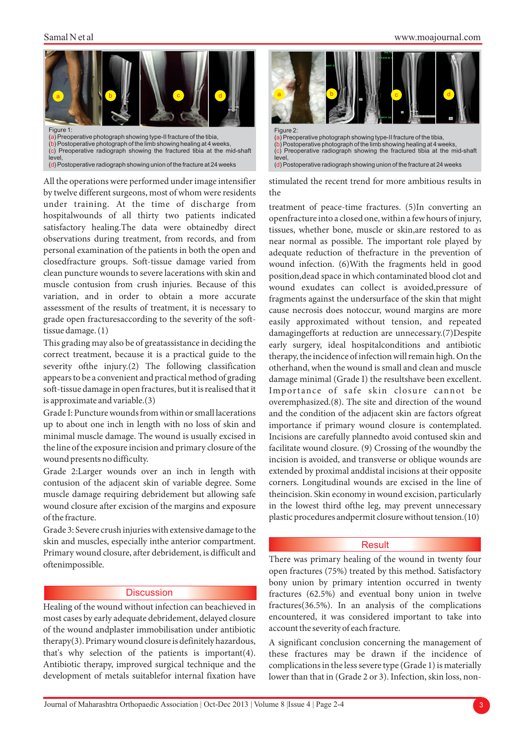

(d) Postoperative radiograph showing union of the fracture at 24 weeks

All the operations were performed under image intensifier by twelve different surgeons, most of whom were residents under training. At the time of discharge from hospitalwounds of all thirty two patients indicated satisfactory healing.The data were obtainedby direct observations during treatment, from records, and from personal examination of the patients in both the open and closedfracture groups. Soft-tissue damage varied from clean puncture wounds to severe lacerations with skin and muscle contusion from crush injuries. Because of this variation, and in order to obtain a more accurate assessment of the results of treatment, it is necessary to grade open fracturesaccording to the severity of the softtissue damage. (1)

This grading may also be of greatassistance in deciding the correct treatment, because it is a practical guide to the severity ofthe injury.(2) The following classification appears to be a convenient and practical method of grading soft-tissue damage in open fractures, but it is realised that it is approximate and variable.(3)

Grade I: Puncture wounds from within or small lacerations up to about one inch in length with no loss of skin and minimal muscle damage. The wound is usually excised in the line of the exposure incision and primary closure of the wound presents no difficulty.

Grade 2:Larger wounds over an inch in length with contusion of the adjacent skin of variable degree. Some muscle damage requiring debridement but allowing safe wound closure after excision of the margins and exposure of the fracture.

Grade 3: Severe crush injuries with extensive damage to the skin and muscles, especially inthe anterior compartment. Primary wound closure, after debridement, is difficult and oftenimpossible.

#### **Discussion**

most cases by early adequate debridement, delayed closure encountered, it was considered important to take into of the wound andplaster immobilisation under antibiotic account the severity of each fracture. therapy(3). Primary wound closure is definitely hazardous, A significant conclusion concerning the management of that's why selection of the patients is important(4). these fractures may be drawn if the incidence of development of metals suitablefor internal fixation have lower than that in (Grade 2 or 3). Infection, skin loss, non-



level, (d) Postoperative radiograph showing union of the fracture at 24 weeks

stimulated the recent trend for more ambitious results in the

treatment of peace-time fractures. (5)In converting an openfracture into a closed one, within a few hours of injury, tissues, whether bone, muscle or skin,are restored to as near normal as possible. The important role played by adequate reduction of thefracture in the prevention of wound infection. (6)With the fragments held in good position,dead space in which contaminated blood clot and wound exudates can collect is avoided,pressure of fragments against the undersurface of the skin that might cause necrosis does notoccur, wound margins are more easily approximated without tension, and repeated damagingefforts at reduction are unnecessary.(7)Despite early surgery, ideal hospitalconditions and antibiotic therapy, the incidence of infection will remain high. On the otherhand, when the wound is small and clean and muscle damage minimal (Grade I) the resultshave been excellent. Importance of safe skin closure cannot be overemphasized.(8). The site and direction of the wound and the condition of the adjacent skin are factors ofgreat importance if primary wound closure is contemplated. Incisions are carefully plannedto avoid contused skin and facilitate wound closure. (9) Crossing of the woundby the incision is avoided, and transverse or oblique wounds are extended by proximal anddistal incisions at their opposite corners. Longitudinal wounds are excised in the line of theincision. Skin economy in wound excision, particularly in the lowest third ofthe leg, may prevent unnecessary plastic procedures andpermit closure without tension.(10)

#### **Result**

There was primary healing of the wound in twenty four open fractures (75%) treated by this method. Satisfactory bony union by primary intention occurred in twenty fractures (62.5%) and eventual bony union in twelve Healing of the wound without infection can beachieved in fractures(36.5%). In an analysis of the complications

these fractures may be drawn if the incidence of Antibiotic therapy, improved surgical technique and the complications in the less severe type (Grade 1) is materially